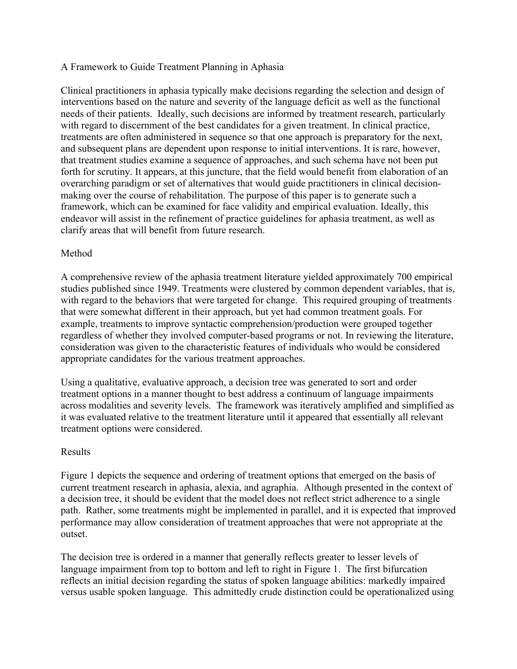## A Framework to Guide Treatment Planning in Aphasia

Clinical practitioners in aphasia typically make decisions regarding the selection and design of interventions based on the nature and severity of the language deficit as well as the functional needs of their patients. Ideally, such decisions are informed by treatment research, particularly with regard to discernment of the best candidates for a given treatment. In clinical practice, treatments are often administered in sequence so that one approach is preparatory for the next, and subsequent plans are dependent upon response to initial interventions. It is rare, however, that treatment studies examine a sequence of approaches, and such schema have not been put forth for scrutiny. It appears, at this juncture, that the field would benefit from elaboration of an overarching paradigm or set of alternatives that would guide practitioners in clinical decisionmaking over the course of rehabilitation. The purpose of this paper is to generate such a framework, which can be examined for face validity and empirical evaluation. Ideally, this endeavor will assist in the refinement of practice guidelines for aphasia treatment, as well as clarify areas that will benefit from future research.

## Method

A comprehensive review of the aphasia treatment literature yielded approximately 700 empirical studies published since 1949. Treatments were clustered by common dependent variables, that is, with regard to the behaviors that were targeted for change. This required grouping of treatments that were somewhat different in their approach, but yet had common treatment goals. For example, treatments to improve syntactic comprehension/production were grouped together regardless of whether they involved computer-based programs or not. In reviewing the literature, consideration was given to the characteristic features of individuals who would be considered appropriate candidates for the various treatment approaches.

Using a qualitative, evaluative approach, a decision tree was generated to sort and order treatment options in a manner thought to best address a continuum of language impairments across modalities and severity levels. The framework was iteratively amplified and simplified as it was evaluated relative to the treatment literature until it appeared that essentially all relevant treatment options were considered.

## Results

Figure 1 depicts the sequence and ordering of treatment options that emerged on the basis of current treatment research in aphasia, alexia, and agraphia. Although presented in the context of a decision tree, it should be evident that the model does not reflect strict adherence to a single path. Rather, some treatments might be implemented in parallel, and it is expected that improved performance may allow consideration of treatment approaches that were not appropriate at the outset.

The decision tree is ordered in a manner that generally reflects greater to lesser levels of language impairment from top to bottom and left to right in Figure 1. The first bifurcation reflects an initial decision regarding the status of spoken language abilities: markedly impaired versus usable spoken language. This admittedly crude distinction could be operationalized using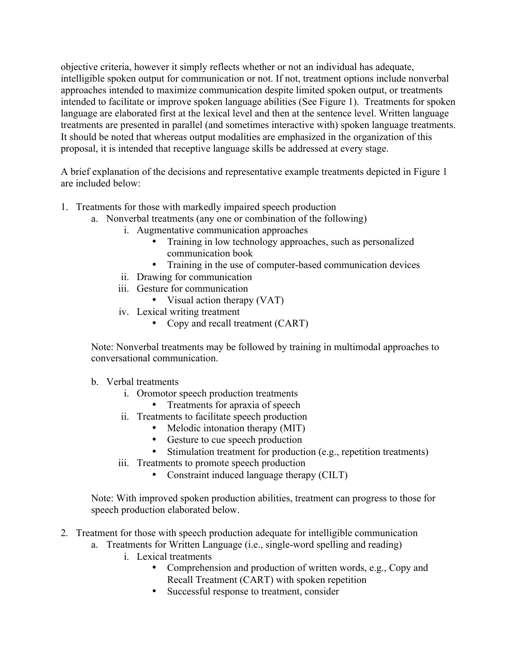objective criteria, however it simply reflects whether or not an individual has adequate, intelligible spoken output for communication or not. If not, treatment options include nonverbal approaches intended to maximize communication despite limited spoken output, or treatments intended to facilitate or improve spoken language abilities (See Figure 1). Treatments for spoken language are elaborated first at the lexical level and then at the sentence level. Written language treatments are presented in parallel (and sometimes interactive with) spoken language treatments. It should be noted that whereas output modalities are emphasized in the organization of this proposal, it is intended that receptive language skills be addressed at every stage.

A brief explanation of the decisions and representative example treatments depicted in Figure 1 are included below:

- 1. Treatments for those with markedly impaired speech production
	- a. Nonverbal treatments (any one or combination of the following)
		- i. Augmentative communication approaches
			- Training in low technology approaches, such as personalized communication book
			- Training in the use of computer-based communication devices
		- ii. Drawing for communication
		- iii. Gesture for communication
			- Visual action therapy (VAT)
		- iv. Lexical writing treatment
			- Copy and recall treatment (CART)

Note: Nonverbal treatments may be followed by training in multimodal approaches to conversational communication.

- b. Verbal treatments
	- i. Oromotor speech production treatments
		- Treatments for apraxia of speech
	- ii. Treatments to facilitate speech production
		- Melodic intonation therapy (MIT)
		- Gesture to cue speech production
		- Stimulation treatment for production (e.g., repetition treatments)
	- iii. Treatments to promote speech production
		- Constraint induced language therapy (CILT)

Note: With improved spoken production abilities, treatment can progress to those for speech production elaborated below.

- 2. Treatment for those with speech production adequate for intelligible communication
	- a. Treatments for Written Language (i.e., single-word spelling and reading)
		- i. Lexical treatments
			- Comprehension and production of written words, e.g., Copy and Recall Treatment (CART) with spoken repetition
			- Successful response to treatment, consider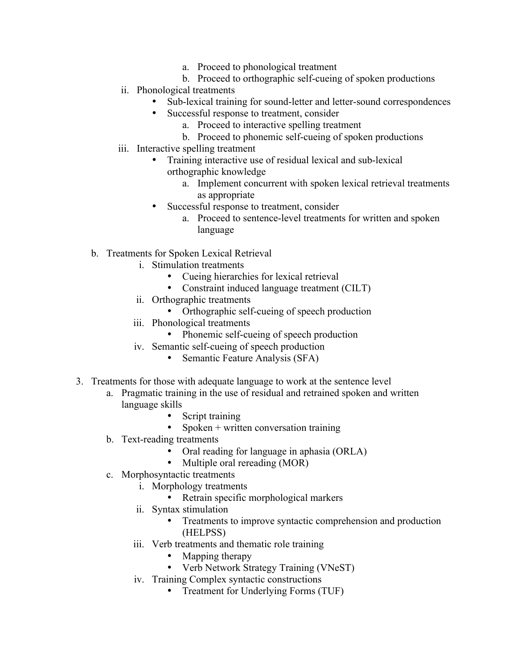- a. Proceed to phonological treatment
- b. Proceed to orthographic self-cueing of spoken productions
- ii. Phonological treatments
	- Sub-lexical training for sound-letter and letter-sound correspondences
	- Successful response to treatment, consider
		- a. Proceed to interactive spelling treatment
		- b. Proceed to phonemic self-cueing of spoken productions
- iii. Interactive spelling treatment
	- Training interactive use of residual lexical and sub-lexical orthographic knowledge
		- a. Implement concurrent with spoken lexical retrieval treatments as appropriate
		- Successful response to treatment, consider
			- a. Proceed to sentence-level treatments for written and spoken language
- b. Treatments for Spoken Lexical Retrieval
	- i. Stimulation treatments
		- Cueing hierarchies for lexical retrieval
		- Constraint induced language treatment (CILT)
	- ii. Orthographic treatments
		- Orthographic self-cueing of speech production
	- iii. Phonological treatments
		- Phonemic self-cueing of speech production
	- iv. Semantic self-cueing of speech production
		- Semantic Feature Analysis (SFA)
- 3. Treatments for those with adequate language to work at the sentence level
	- a. Pragmatic training in the use of residual and retrained spoken and written language skills
		- Script training
		- Spoken + written conversation training
	- b. Text-reading treatments
		- Oral reading for language in aphasia (ORLA)
		- Multiple oral rereading (MOR)
	- c. Morphosyntactic treatments
		- i. Morphology treatments
			- Retrain specific morphological markers
		- ii. Syntax stimulation
			- Treatments to improve syntactic comprehension and production (HELPSS)
		- iii. Verb treatments and thematic role training
			- Mapping therapy
			- Verb Network Strategy Training (VNeST)
		- iv. Training Complex syntactic constructions
			- Treatment for Underlying Forms (TUF)